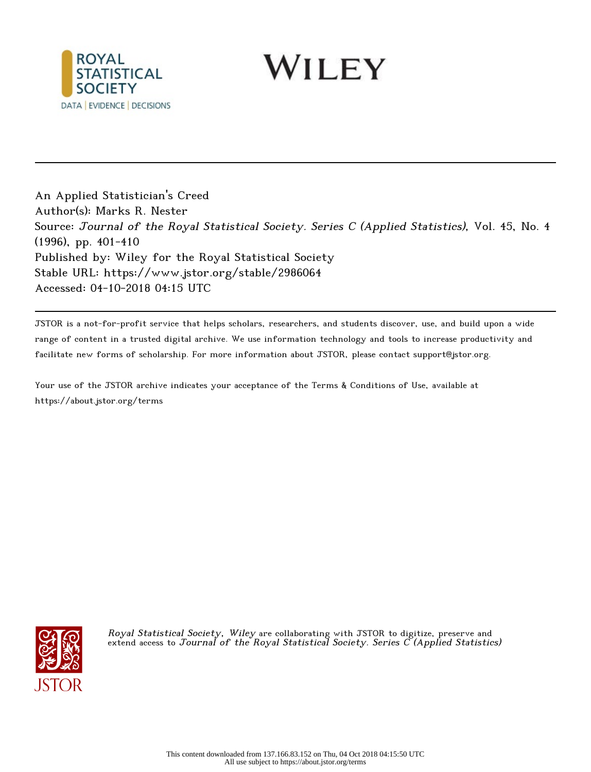

WILEY

An Applied Statistician's Creed Author(s): Marks R. Nester Source: Journal of the Royal Statistical Society. Series C (Applied Statistics), Vol. 45, No. 4 (1996), pp. 401-410 Published by: Wiley for the Royal Statistical Society Stable URL: https://www.jstor.org/stable/2986064 Accessed: 04-10-2018 04:15 UTC

JSTOR is a not-for-profit service that helps scholars, researchers, and students discover, use, and build upon a wide range of content in a trusted digital archive. We use information technology and tools to increase productivity and facilitate new forms of scholarship. For more information about JSTOR, please contact support@jstor.org.

Your use of the JSTOR archive indicates your acceptance of the Terms & Conditions of Use, available at https://about.jstor.org/terms



Royal Statistical Society, Wiley are collaborating with JSTOR to digitize, preserve and extend access to Journal of the Royal Statistical Society. Series  $\tilde{C}$  (Applied Statistics)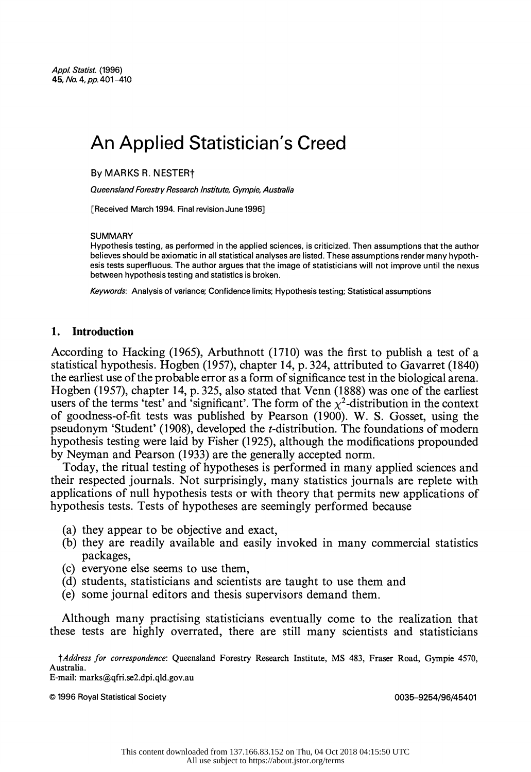# An Applied Statistician's Creed

By MARKS R. NESTERt

Queensland Forestry Research Institute, Gympie, Australia

[Received March 1994. Final revision June 1996]

#### SUMMARY

 Hypothesis testing, as performed in the applied sciences, is criticized. Then assumptions that the author believes should be axiomatic in all statistical analyses are listed. These assumptions render many hypoth esis tests superfluous. The author argues that the image of statisticians will not improve until the nexus between hypothesis testing and statistics is broken.

Keywords: Analysis of variance; Confidence limits; Hypothesis testing; Statistical assumptions

## 1. Introduction

 According to Hacking (1965), Arbuthnott (1710) was the first to publish a test of a statistical hypothesis. Hogben (1957), chapter 14, p. 324, attributed to Gavarret (1840) the earliest use of the probable error as a form of significance test in the biological arena. Hogben (1957), chapter 14, p. 325, also stated that Venn (1888) was one of the earliest users of the terms 'test' and 'significant'. The form of the  $\chi^2$ -distribution in the context of goodness-of-fit tests was published by Pearson (1900). W. S. Gosset, using the pseudonym 'Student' (1908), developed the t-distribution. The foundations of modern hypothesis testing were laid by Fisher (1925), although the modifications propounded by Neyman and Pearson (1933) are the generally accepted norm.

 Today, the ritual testing of hypotheses is performed in many applied sciences and their respected journals. Not surprisingly, many statistics journals are replete with applications of null hypothesis tests or with theory that permits new applications of hypothesis tests. Tests of hypotheses are seemingly performed because

- (a) they appear to be objective and exact,
- (b) they are readily available and easily invoked in many commercial statistics packages,
- (c) everyone else seems to use them,
- (d) students, statisticians and scientists are taught to use them and
- (e) some journal editors and thesis supervisors demand them.

 Although many practising statisticians eventually come to the realization that these tests are highly overrated, there are still many scientists and statisticians

E-mail: marks(qfri.se2.dpi.qld.gov.au

? 1996 Royal Statistical Society 0035-9254/96/45401

tAddress for correspondence: Queensland Forestry Research Institute, MS 483, Fraser Road, Gympie 4570, Australia.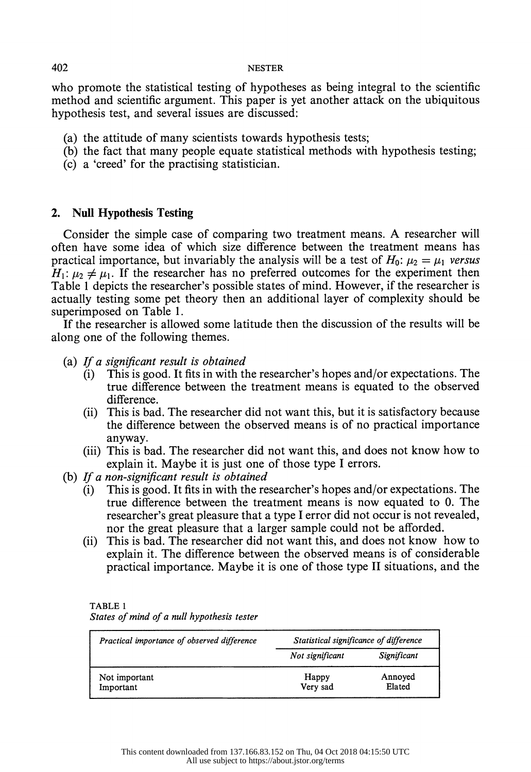who promote the statistical testing of hypotheses as being integral to the scientific method and scientific argument. This paper is yet another attack on the ubiquitous hypothesis test, and several issues are discussed:

- (a) the attitude of many scientists towards hypothesis tests;
- (b) the fact that many people equate statistical methods with hypothesis testing;
- (c) a 'creed' for the practising statistician.

# 2. Null Hypothesis Testing

 Consider the simple case of comparing two treatment means. A researcher will often have some idea of which size difference between the treatment means has practical importance, but invariably the analysis will be a test of  $H_0$ :  $\mu_2 = \mu_1$  versus  $H_1: \mu_2 \neq \mu_1$ . If the researcher has no preferred outcomes for the experiment then Table 1 depicts the researcher's possible states of mind. However, if the researcher is actually testing some pet theory then an additional layer of complexity should be superimposed on Table 1.

 If the researcher is allowed some latitude then the discussion of the results will be along one of the following themes.

- (a) If a significant result is obtained
	- (i) This is good. It fits in with the researcher's hopes and/or expectations. The true difference between the treatment means is equated to the observed difference.
	- (ii) This is bad. The researcher did not want this, but it is satisfactory because the difference between the observed means is of no practical importance anyway.
	- (iii) This is bad. The researcher did not want this, and does not know how to explain it. Maybe it is just one of those type I errors.
- (b) If a non-significant result is obtained
	- (i) This is good. It fits in with the researcher's hopes and/or expectations. The true difference between the treatment means is now equated to 0. The researcher's great pleasure that a type I error did not occur is not revealed, nor the great pleasure that a larger sample could not be afforded.
	- (ii) This is bad. The researcher did not want this, and does not know how to explain it. The difference between the observed means is of considerable practical importance. Maybe it is one of those type II situations, and the

| ABL.<br>í<br>. .<br>۰ |  |
|-----------------------|--|
|                       |  |

| States of mind of a null hypothesis tester |  |  |  |
|--------------------------------------------|--|--|--|
|--------------------------------------------|--|--|--|

| Practical importance of observed difference | Statistical significance of difference |                   |
|---------------------------------------------|----------------------------------------|-------------------|
|                                             | Not significant                        | Significant       |
| Not important<br>Important                  | Happy<br>Very sad                      | Annoyed<br>Elated |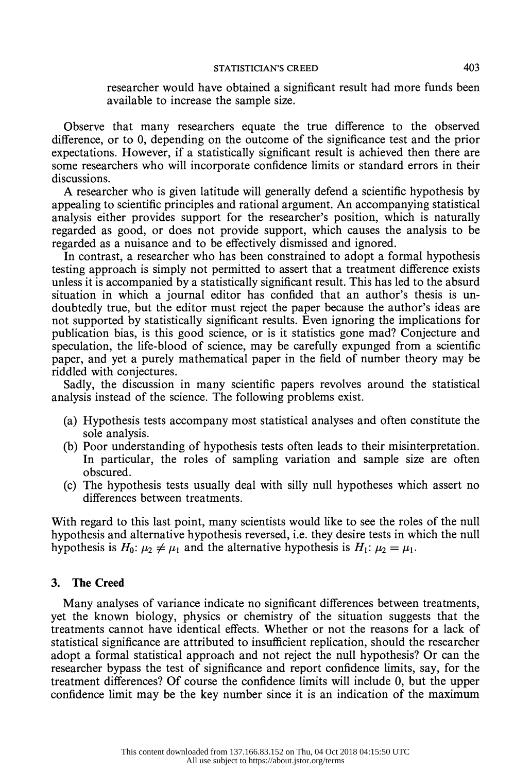### STATISTICIAN'S CREED 403

 researcher would have obtained a significant result had more funds been available to increase the sample size.

 Observe that many researchers equate the true difference to the observed difference, or to 0, depending on the outcome of the significance test and the prior expectations. However, if a statistically significant result is achieved then there are some researchers who will incorporate confidence limits or standard errors in their discussions.

 A researcher who is given latitude will generally defend a scientific hypothesis by appealing to scientific principles and rational argument. An accompanying statistical analysis either provides support for the researcher's position, which is naturally regarded as good, or does not provide support, which causes the analysis to be regarded as a nuisance and to be effectively dismissed and ignored.

 In contrast, a researcher who has been constrained to adopt a formal hypothesis testing approach is simply not permitted to assert that a treatment difference exists unless it is accompanied by a statistically significant result. This has led to the absurd situation in which a journal editor has confided that an author's thesis is un doubtedly true, but the editor must reject the paper because the author's ideas are not supported by statistically significant results. Even ignoring the implications for publication bias, is this good science, or is it statistics gone mad? Conjecture and speculation, the life-blood of science, may be carefully expunged from a scientific paper, and yet a purely mathematical paper in the field of number theory may be riddled with conjectures.

 Sadly, the discussion in many scientific papers revolves around the statistical analysis instead of the science. The following problems exist.

- (a) Hypothesis tests accompany most statistical analyses and often constitute the sole analysis.
- (b) Poor understanding of hypothesis tests often leads to their misinterpretation. In particular, the roles of sampling variation and sample size are often obscured.
- (c) The hypothesis tests usually deal with silly null hypotheses which assert no differences between treatments.

 With regard to this last point, many scientists would like to see the roles of the null hypothesis and alternative hypothesis reversed, i.e. they desire tests in which the null hypothesis is  $H_0: \mu_2 \neq \mu_1$  and the alternative hypothesis is  $H_1: \mu_2 = \mu_1$ .

# 3. The Creed

 Many analyses of variance indicate no significant differences between treatments, yet the known biology, physics or chemistry of the situation suggests that the treatments cannot have identical effects. Whether or not the reasons for a lack of statistical significance are attributed to insufficient replication, should the researcher adopt a formal statistical approach and not reject the null hypothesis? Or can the researcher bypass the test of significance and report confidence limits, say, for the treatment differences? Of course the confidence limits will include 0, but the upper confidence limit may be the key number since it is an indication of the maximum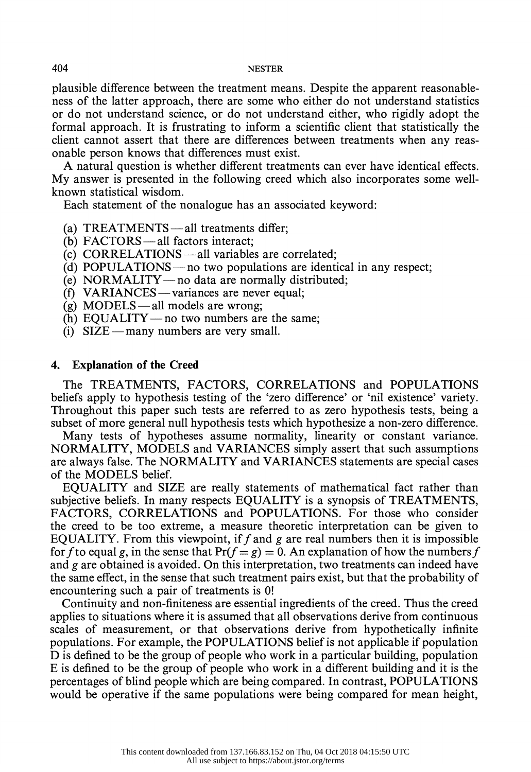plausible difference between the treatment means. Despite the apparent reasonable ness of the latter approach, there are some who either do not understand statistics or do not understand science, or do not understand either, who rigidly adopt the formal approach. It is frustrating to inform a scientific client that statistically the client cannot assert that there are differences between treatments when any reas onable person knows that differences must exist.

 A natural question is whether different treatments can ever have identical effects. My answer is presented in the following creed which also incorporates some well known statistical wisdom.

Each statement of the nonalogue has an associated keyword:

- (a) TREATMENTS all treatments differ;
- (b)  $\text{FACTORS}$ —all factors interact;
- $(c)$  CORRELATIONS all variables are correlated:
- (d) POPULATIONS no two populations are identical in any respect;
- (e) NORMALITY-no data are normally distributed;
- $(f)$  VARIANCES variances are never equal;
- (g) MODELS all models are wrong;
- (h) EQUALITY no two numbers are the same;
- (i)  $SIZE—many numbers are very small.$

### 4. Explanation of the Creed

 The TREATMENTS, FACTORS, CORRELATIONS and POPULATIONS beliefs apply to hypothesis testing of the 'zero difference' or 'nil existence' variety. Throughout this paper such tests are referred to as zero hypothesis tests, being a subset of more general null hypothesis tests which hypothesize a non-zero difference.

 Many tests of hypotheses assume normality, linearity or constant variance. NORMALITY, MODELS and VARIANCES simply assert that such assumptions are always false. The NORMALITY and VARIANCES statements are special cases of the MODELS belief.

 EQUALITY and SIZE are really statements of mathematical fact rather than subjective beliefs. In many respects EQUALITY is a synopsis of TREATMENTS, FACTORS, CORRELATIONS and POPULATIONS. For those who consider the creed to be too extreme, a measure theoretic interpretation can be given to EQUALITY. From this viewpoint, if f and g are real numbers then it is impossible for f to equal g, in the sense that  $Pr(f = g) = 0$ . An explanation of how the numbers f and  $g$  are obtained is avoided. On this interpretation, two treatments can indeed have the same effect, in the sense that such treatment pairs exist, but that the probability of encountering such a pair of treatments is 0!

 Continuity and non-finiteness are essential ingredients of the creed. Thus the creed applies to situations where it is assumed that all observations derive from continuous scales of measurement, or that observations derive from hypothetically infinite populations. For example, the POPULATIONS belief is not applicable if population D is defined to be the group of people who work in a particular building, population E is defined to be the group of people who work in a different building and it is the percentages of blind people which are being compared. In contrast, POPULATIONS would be operative if the same populations were being compared for mean height,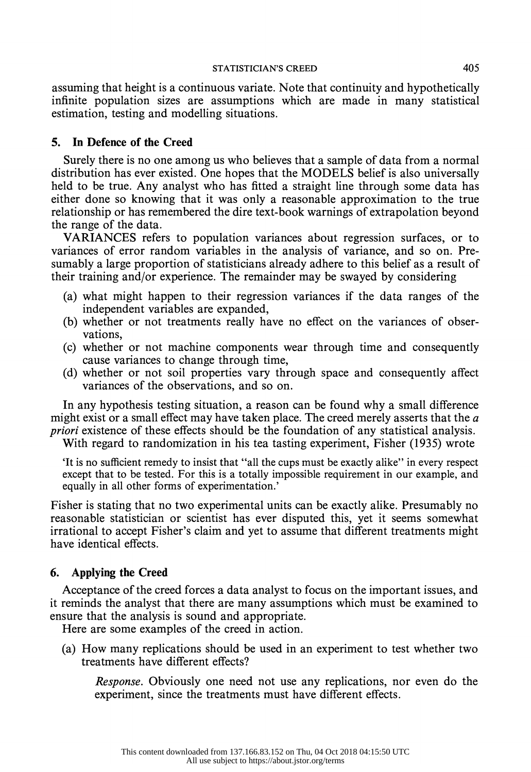assuming that height is a continuous variate. Note that continuity and hypothetically infinite population sizes are assumptions which are made in many statistical estimation, testing and modelling situations.

# 5. In Defence of the Creed

 Surely there is no one among us who believes that a sample of data from a normal distribution has ever existed. One hopes that the MODELS belief is also universally held to be true. Any analyst who has fitted a straight line through some data has either done so knowing that it was only a reasonable approximation to the true relationship or has remembered the dire text-book warnings of extrapolation beyond the range of the data.

 VARIANCES refers to population variances about regression surfaces, or to variances of error random variables in the analysis of variance, and so on. Pre sumably a large proportion of statisticians already adhere to this belief as a result of their training and/or experience. The remainder may be swayed by considering

- (a) what might happen to their regression variances if the data ranges of the independent variables are expanded,
- (b) whether or not treatments really have no effect on the variances of obser vations,
- (c) whether or not machine components wear through time and consequently cause variances to change through time,
- (d) whether or not soil properties vary through space and consequently affect variances of the observations, and so on.

 In any hypothesis testing situation, a reason can be found why a small difference might exist or a small effect may have taken place. The creed merely asserts that the  $a$ priori existence of these effects should be the foundation of any statistical analysis.

With regard to randomization in his tea tasting experiment, Fisher (1935) wrote

 'It is no sufficient remedy to insist that "all the cups must be exactly alike" in every respect except that to be tested. For this is a totally impossible requirement in our example, and equally in all other forms of experimentation.'

 Fisher is stating that no two experimental units can be exactly alike. Presumably no reasonable statistician or scientist has ever disputed this, yet it seems somewhat irrational to accept Fisher's claim and yet to assume that different treatments might have identical effects.

# 6. Applying the Creed

 Acceptance of the creed forces a data analyst to focus on the important issues, and it reminds the analyst that there are many assumptions which must be examined to ensure that the analysis is sound and appropriate.

Here are some examples of the creed in action.

 (a) How many replications should be used in an experiment to test whether two treatments have different effects?

 Response. Obviously one need not use any replications, nor even do the experiment, since the treatments must have different effects.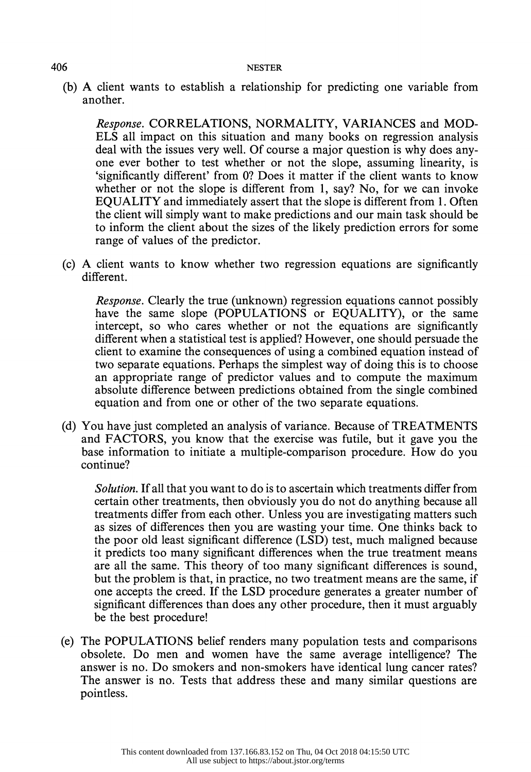(b) A client wants to establish a relationship for predicting one variable from another.

 Response. CORRELATIONS, NORMALITY, VARIANCES and MOD- ELS all impact on this situation and many books on regression analysis deal with the issues very well. Of course a major question is why does any one ever bother to test whether or not the slope, assuming linearity, is 'significantly different' from 0? Does it matter if the client wants to know whether or not the slope is different from 1, say? No, for we can invoke EQUALITY and immediately assert that the slope is different from 1. Often the client will simply want to make predictions and our main task should be to inform the client about the sizes of the likely prediction errors for some range of values of the predictor.

 (c) A client wants to know whether two regression equations are significantly different.

 Response. Clearly the true (unknown) regression equations cannot possibly have the same slope (POPULATIONS or EQUALITY), or the same intercept, so who cares whether or not the equations are significantly different when a statistical test is applied? However, one should persuade the client to examine the consequences of using a combined equation instead of two separate equations. Perhaps the simplest way of doing this is to choose an appropriate range of predictor values and to compute the maximum absolute difference between predictions obtained from the single combined equation and from one or other of the two separate equations.

 (d) You have just completed an analysis of variance. Because of TREATMENTS and FACTORS, you know that the exercise was futile, but it gave you the base information to initiate a multiple-comparison procedure. How do you continue?

 Solution. If all that you want to do is to ascertain which treatments differ from certain other treatments, then obviously you do not do anything because all treatments differ from each other. Unless you are investigating matters such as sizes of differences then you are wasting your time. One thinks back to the poor old least significant difference (LSD) test, much maligned because it predicts too many significant differences when the true treatment means are all the same. This theory of too many significant differences is sound, but the problem is that, in practice, no two treatment means are the same, if one accepts the creed. If the LSD procedure generates a greater number of significant differences than does any other procedure, then it must arguably be the best procedure!

 (e) The POPULATIONS belief renders many population tests and comparisons obsolete. Do men and women have the same average intelligence? The answer is no. Do smokers and non-smokers have identical lung cancer rates? The answer is no. Tests that address these and many similar questions are pointless.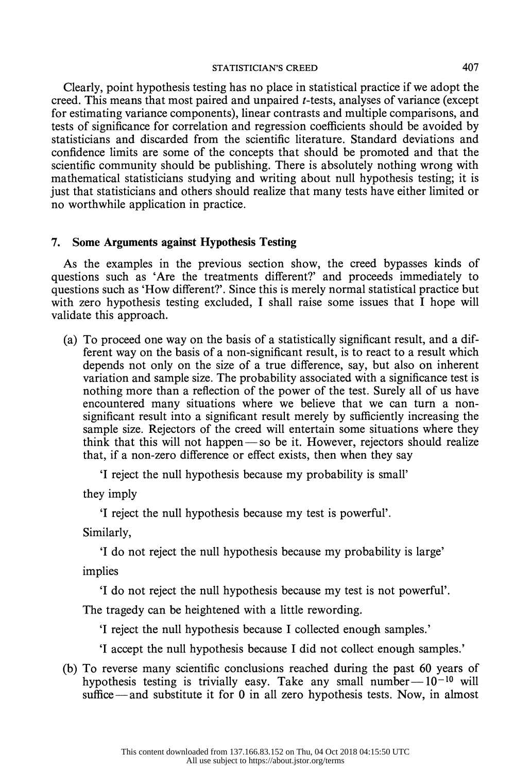#### STATISTICIAN'S CREED 407

 Clearly, point hypothesis testing has no place in statistical practice if we adopt the creed. This means that most paired and unpaired t-tests, analyses of variance (except for estimating variance components), linear contrasts and multiple comparisons, and tests of significance for correlation and regression coefficients should be avoided by statisticians and discarded from the scientific literature. Standard deviations and confidence limits are some of the concepts that should be promoted and that the scientific community should be publishing. There is absolutely nothing wrong with mathematical statisticians studying and writing about null hypothesis testing; it is just that statisticians and others should realize that many tests have either limited or no worthwhile application in practice.

### 7. Some Arguments against Hypothesis Testing

 As the examples in the previous section show, the creed bypasses kinds of questions such as 'Are the treatments different?' and proceeds immediately to questions such as 'How different?'. Since this is merely normal statistical practice but with zero hypothesis testing excluded, I shall raise some issues that I hope will validate this approach.

 (a) To proceed one way on the basis of a statistically significant result, and a dif ferent way on the basis of a non-significant result, is to react to a result which depends not only on the size of a true difference, say, but also on inherent variation and sample size. The probability associated with a significance test is nothing more than a reflection of the power of the test. Surely all of us have encountered many situations where we believe that we can turn a non significant result into a significant result merely by sufficiently increasing the sample size. Rejectors of the creed will entertain some situations where they think that this will not happen  $-$  so be it. However, rejectors should realize that, if a non-zero difference or effect exists, then when they say

'I reject the null hypothesis because my probability is small'

they imply

'I reject the null hypothesis because my test is powerful'.

Similarly,

'I do not reject the null hypothesis because my probability is large'

implies

'I do not reject the null hypothesis because my test is not powerful'.

The tragedy can be heightened with a little rewording.

'I reject the null hypothesis because I collected enough samples.'

'I accept the null hypothesis because I did not collect enough samples.'

 (b) To reverse many scientific conclusions reached during the past 60 years of hypothesis testing is trivially easy. Take any small number $- 10^{-10}$  will suffice — and substitute it for 0 in all zero hypothesis tests. Now, in almost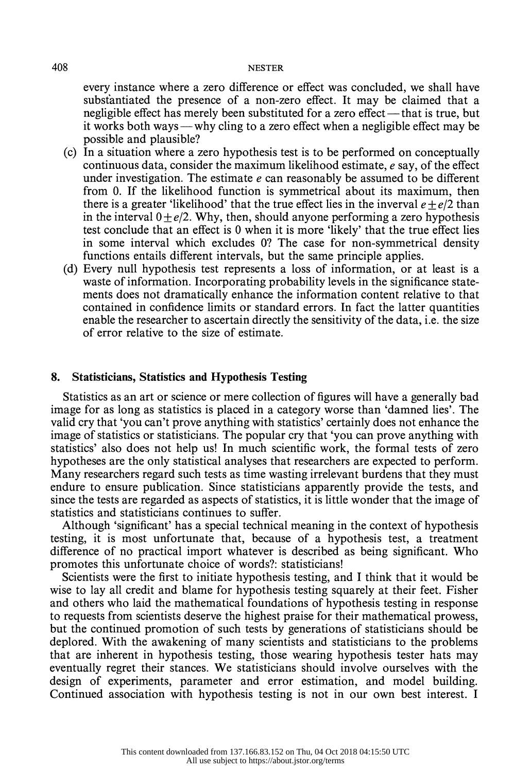every instance where a zero difference or effect was concluded, we shall have substantiated the presence of a non-zero effect. It may be claimed that a negligible effect has merely been substituted for a zero effect — that is true, but it works both ways — why cling to a zero effect when a negligible effect may be possible and plausible?

- (c) In a situation where a zero hypothesis test is to be performed on conceptually continuous data, consider the maximum likelihood estimate, e say, of the effect under investigation. The estimate  $e$  can reasonably be assumed to be different from 0. If the likelihood function is symmetrical about its maximum, then there is a greater 'likelihood' that the true effect lies in the inverval  $e + e/2$  than in the interval  $0 + e/2$ . Why, then, should anyone performing a zero hypothesis test conclude that an effect is 0 when it is more 'likely' that the true effect lies in some interval which excludes O? The case for non-symmetrical density functions entails different intervals, but the same principle applies.
- (d) Every null hypothesis test represents a loss of information, or at least is a waste of information. Incorporating probability levels in the significance state ments does not dramatically enhance the information content relative to that contained in confidence limits or standard errors. In fact the latter quantities enable the researcher to ascertain directly the sensitivity of the data, i.e. the size of error relative to the size of estimate.

## 8. Statisticians, Statistics and Hypothesis Testing

 Statistics as an art or science or mere collection of figures will have a generally bad image for as long as statistics is placed in a category worse than 'damned lies'. The valid cry that 'you can't prove anything with statistics' certainly does not enhance the image of statistics or statisticians. The popular cry that 'you can prove anything with statistics' also does not help us! In much scientific work, the formal tests of zero hypotheses are the only statistical analyses that researchers are expected to perform. Many researchers regard such tests as time wasting irrelevant burdens that they must endure to ensure publication. Since statisticians apparently provide the tests, and since the tests are regarded as aspects of statistics, it is little wonder that the image of statistics and statisticians continues to suffer.

 Although 'significant' has a special technical meaning in the context of hypothesis testing, it is most unfortunate that, because of a hypothesis test, a treatment difference of no practical import whatever is described as being significant. Who promotes this unfortunate choice of words?: statisticians!

 Scientists were the first to initiate hypothesis testing, and I think that it would be wise to lay all credit and blame for hypothesis testing squarely at their feet. Fisher and others who laid the mathematical foundations of hypothesis testing in response to requests from scientists deserve the highest praise for their mathematical prowess, but the continued promotion of such tests by generations of statisticians should be deplored. With the awakening of many scientists and statisticians to the problems that are inherent in hypothesis testing, those wearing hypothesis tester hats may eventually regret their stances. We statisticians should involve ourselves with the design of experiments, parameter and error estimation, and model building. Continued association with hypothesis testing is not in our own best interest. I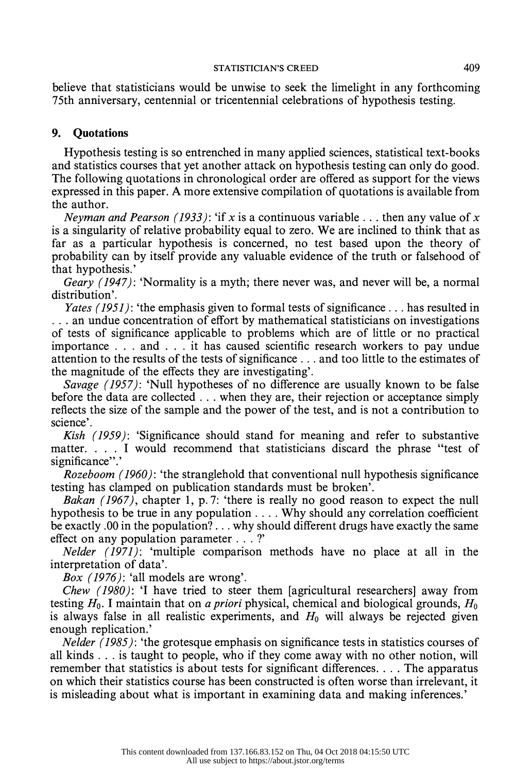### STATISTICIAN'S CREED 409

 believe that statisticians would be unwise to seek the limelight in any forthcoming 75th anniversary, centennial or tricentennial celebrations of hypothesis testing.

# 9. Quotations

 Hypothesis testing is so entrenched in many applied sciences, statistical text-books and statistics courses that yet another attack on hypothesis testing can only do good. The following quotations in chronological order are offered as support for the views expressed in this paper. A more extensive compilation of quotations is available from the author.

Neyman and Pearson (1933): 'if x is a continuous variable ... then any value of x is a singularity of relative probability equal to zero. We are inclined to think that as far as a particular hypothesis is concerned, no test based upon the theory of probability can by itself provide any valuable evidence of the truth or falsehood of that hypothesis.'

Geary (1947): 'Normality is a myth; there never was, and never will be, a normal distribution'.

Yates (1951): 'the emphasis given to formal tests of significance ... has resulted in . . . an undue concentration of effort by mathematical statisticians on investigations of tests of significance applicable to problems which are of little or no practical importance . . . and . . . it has caused scientific research workers to pay undue attention to the results of the tests of significance . .. and too little to the estimates of the magnitude of the effects they are investigating'.

Savage (1957): 'Null hypotheses of no difference are usually known to be false before the data are collected . . . when they are, their rejection or acceptance simply reflects the size of the sample and the power of the test, and is not a contribution to science'.

 Kish (1959): 'Significance should stand for meaning and refer to substantive matter.... I would recommend that statisticians discard the phrase "test of significance".

 Rozeboom (1960): 'the stranglehold that conventional null hypothesis significance testing has clamped on publication standards must be broken'.

Bakan  $(1967)$ , chapter 1, p. 7: 'there is really no good reason to expect the null hypothesis to be true in any population .... Why should any correlation coefficient be exactly .00 in the population? ... why should different drugs have exactly the same effect on any population parameter  $\dots$ ?'

 Nelder (1971): 'multiple comparison methods have no place at all in the interpretation of data'.

Box (1976): 'all models are wrong'.

 Chew (1980): 'I have tried to steer them [agricultural researchers] away from testing  $H_0$ . I maintain that on *a priori* physical, chemical and biological grounds,  $H_0$ is always false in all realistic experiments, and  $H_0$  will always be rejected given enough replication.'

 Nelder (1985): 'the grotesque emphasis on significance tests in statistics courses of all kinds . .. is taught to people, who if they come away with no other notion, will remember that statistics is about tests for significant differences.... The apparatus on which their statistics course has been constructed is often worse than irrelevant, it is misleading about what is important in examining data and making inferences.'